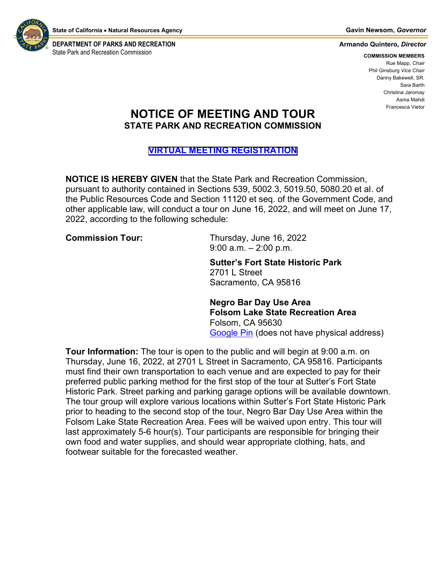

**DEPARTMENT OF PARKS AND RECREATION Armando Quintero***, Director* State Park and Recreation Commission **COMMISSION MEMBERS COMMISSION MEMBERS** 

Rue Mapp, *Chair* Phil Ginsburg *Vice Chair* Danny Bakewell, SR. Sara Barth Christina Jaromay Asma Mahdi Francesca Vietor

## **NOTICE OF MEETING AND TOUR STATE PARK AND RECREATION COMMISSION**

## **[VIRTUAL MEETING REGISTRATION](https://us02web.zoom.us/webinar/register/WN_-fvsoO-PRjKSrUsIrLlg5w)**

**NOTICE IS HEREBY GIVEN** that the State Park and Recreation Commission, pursuant to authority contained in Sections 539, 5002.3, 5019.50, 5080.20 et al. of the Public Resources Code and Section 11120 et seq. of the Government Code, and other applicable law, will conduct a tour on June 16, 2022, and will meet on June 17, 2022, according to the following schedule:

**Commission Tour:** Thursday, June 16, 2022 9:00 a.m. – 2:00 p.m.

> **Sutter's Fort State Historic Park** 2701 L Street Sacramento, CA 95816

**Negro Bar Day Use Area Folsom Lake State Recreation Area** Folsom, CA 95630 Google Pin (does not have physical address)

**Tour Information:** The tour is open to the public and will begin at 9:00 a.m. on Thursday, June 16, 2022, at 2701 L Street in Sacramento, CA 95816. Participants must find their own transportation to each venue and are expected to pay for their preferred public parking method for the first stop of the tour at Sutter's Fort State Historic Park. Street parking and parking garage options will be available downtown. The tour group will explore various locations within Sutter's Fort State Historic Park prior to heading to the second stop of the tour, Negro Bar Day Use Area within the Folsom Lake State Recreation Area. Fees will be waived upon entry. This tour will last approximately 5-6 hour(s). Tour participants are responsible for bringing their own food and water supplies, and should wear appropriate clothing, hats, and footwear suitable for the forecasted weather.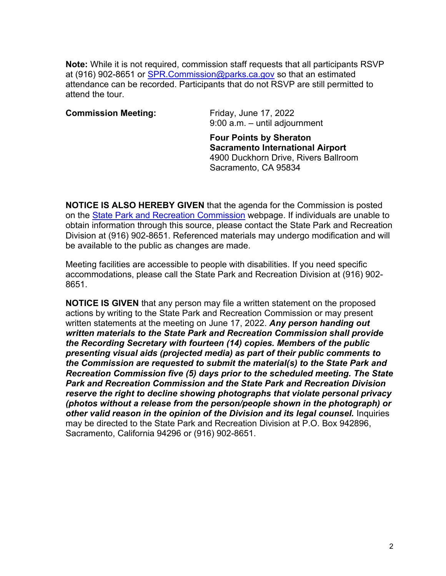**Note:** While it is not required, commission staff requests that all participants RSVP at (916) 902-8651 or SPR. Commission@parks.ca.gov so that an estimated attendance can be recorded. Participants that do not RSVP are still permitted to attend the tour.

## **Commission Meeting:** Friday, June 17, 2022

9:00 a.m. – until adjournment

**Four Points by Sheraton Sacramento International Airport** 4900 Duckhorn Drive, Rivers Ballroom Sacramento, CA 95834

**NOTICE IS ALSO HEREBY GIVEN** that the agenda for the Commission is posted on the [State Park and Recreation](https://www.parks.ca.gov/?page_id=30545) Commission webpage. If individuals are unable to obtain information through this source, please contact the State Park and Recreation Division at (916) 902-8651. Referenced materials may undergo modification and will be available to the public as changes are made.

Meeting facilities are accessible to people with disabilities. If you need specific accommodations, please call the State Park and Recreation Division at (916) 902- 8651.

**NOTICE IS GIVEN** that any person may file a written statement on the proposed actions by writing to the State Park and Recreation Commission or may present written statements at the meeting on June 17, 2022. *Any person handing out written materials to the State Park and Recreation Commission shall provide the Recording Secretary with fourteen (14) copies. Members of the public presenting visual aids (projected media) as part of their public comments to the Commission are requested to submit the material(s) to the State Park and Recreation Commission five (5) days prior to the scheduled meeting. The State Park and Recreation Commission and the State Park and Recreation Division reserve the right to decline showing photographs that violate personal privacy (photos without a release from the person/people shown in the photograph) or other valid reason in the opinion of the Division and its legal counsel.* **Inquiries** may be directed to the State Park and Recreation Division at P.O. Box 942896, Sacramento, California 94296 or (916) 902-8651.